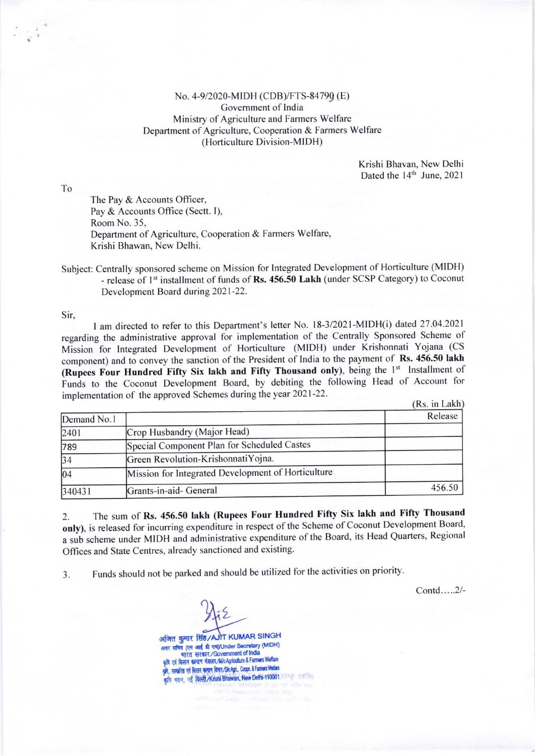No. 4-9/2020-MIDH (CDB)/FTS-84790 (E) Government of India Ministry of Agriculture and Farmers Welfare Department of Agriculture, Cooperation & Farmers Welfare (Horticulture Division-MIDH)

> Krishi Bhavan, New Delhi Dated the 14<sup>th</sup> June, 2021

To

The Pay & Accounts Officer, Pay & Accounts Office (Sectt. I), Room No. 35, Department of Agriculture, Cooperation & Farmers Welfare, Krishi Bhawan, New Delhi.

Subject: Centrally sponsored scheme on Mission for Integrated Development of Horticulture (MIDH) - release of 1<sup>st</sup> installment of funds of Rs. 456.50 Lakh (under SCSP Category) to Coconut Development Board during 2021-22.

Sir,

I am directed to refer to this Department's letter No. 18-3/2021-MIDH(i) dated 27.04.2021 regarding the administrative approval for implementation of the Centrally Sponsored Scheme of Mission for Integrated Development of Horticulture (MIDH) under Krishonnati Yojana (CS component) and to convey the sanction of the President of India to the payment of Rs. 456.50 lakh (Rupees Four Hundred Fifty Six lakh and Fifty Thousand only), being the 1st Installment of Funds to the Coconut Development Board, by debiting the following Head of Account for implementation of the approved Schemes during the year 2021-22.

|             |                                                    | (KS. III LAKII) |  |
|-------------|----------------------------------------------------|-----------------|--|
| Demand No.1 |                                                    | Release         |  |
| 2401        | Crop Husbandry (Major Head)                        |                 |  |
| 789         | Special Component Plan for Scheduled Castes        |                 |  |
| 34          | Green Revolution-KrishonnatiYojna.                 |                 |  |
| 04          | Mission for Integrated Development of Horticulture |                 |  |
| 340431      | Grants-in-aid- General                             | 456.50          |  |

The sum of Rs. 456.50 lakh (Rupees Four Hundred Fifty Six lakh and Fifty Thousand 2. only), is released for incurring expenditure in respect of the Scheme of Coconut Development Board, a sub scheme under MIDH and administrative expenditure of the Board, its Head Quarters, Regional Offices and State Centres, already sanctioned and existing.

Funds should not be parked and should be utilized for the activities on priority.  $\overline{3}$ .

Contd.....2/-

अजित कुमार सिंह/AJIT KUMAR SINGH अवर सचिव (एम आई डी एच)/Under Secretary (MIDH) भारत सरकार/Government of India एवं किसान कल्याण मंत्रालय/M/o Agriculture & Farmers Welfare कृषि, सहकारिता एवं किसान कल्याण विमान/DioAgri., Coopn. & Farmers Weifare कृषि भवन, नई दिल्ली/Krishi Bhawan, New Delhi-110001 प्राप्त कार्याह